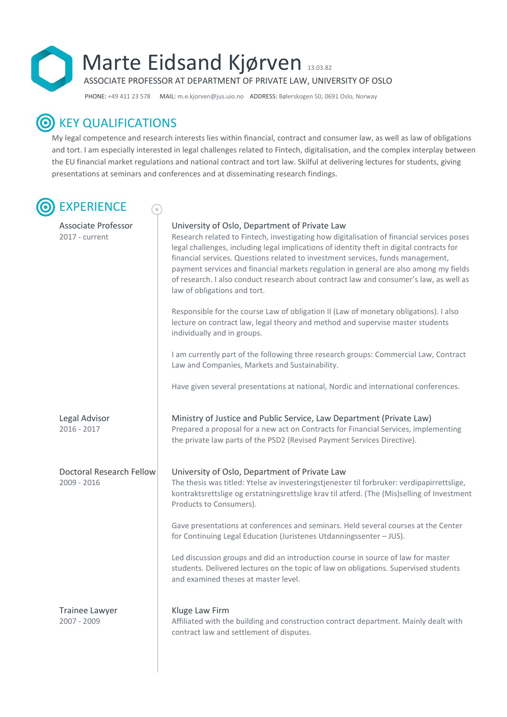

PHONE: +49 411 23 578MAIL: m.e.kjorven@jus.uio.no ADDRESS: Bølerskogen 50, 0691 Oslo, Norway

## **O** KEY QUALIFICATIONS

My legal competence and research interests lies within financial, contract and consumer law, as well as law of obligations and tort. I am especially interested in legal challenges related to Fintech, digitalisation, and the complex interplay between the EU financial market regulations and national contract and tort law. Skilful at delivering lectures for students, giving presentations at seminars and conferences and at disseminating research findings.

# **EXPERIENCE**

### Associate Professor | University of Oslo, Department of Private Law

2017 - current Research related to Fintech, investigating how digitalisation of financial services poses legal challenges, including legal implications of identity theft in digital contracts for financial services. Questions related to investment services, funds management, payment services and financial markets regulation in general are also among my fields of research. I also conduct research about contract law and consumer's law, as well as law of obligations and tort.

> Responsible for the course Law of obligation II (Law of monetary obligations). I also lecture on contract law, legal theory and method and supervise master students individually and in groups.

I am currently part of the following three research groups: Commercial Law, Contract Law and Companies, Markets and Sustainability.

Have given several presentations at national, Nordic and international conferences.

Legal Advisor **Ministry of Justice and Public Service, Law Department (Private Law)** 2016 - 2017 **Prepared a proposal for a new act on Contracts for Financial Services, implementing** the private law parts of the PSD2 (Revised Payment Services Directive).

Doctoral Research Fellow | University of Oslo, Department of Private Law 2009 - 2016 The thesis was titled: Ytelse av investeringstjenester til forbruker: verdipapirrettslige, kontraktsrettslige og erstatningsrettslige krav til atferd. (The (Mis)selling of Investment Products to Consumers). Gave presentations at conferences and seminars. Held several courses at the Center for Continuing Legal Education (Juristenes Utdanningssenter – JUS).

> Led discussion groups and did an introduction course in source of law for master students. Delivered lectures on the topic of law on obligations. Supervised students and examined theses at master level.

Trainee Lawyer **Kluge Law Firm** 

2007 - 2009 Affiliated with the building and construction contract department. Mainly dealt with contract law and settlement of disputes.